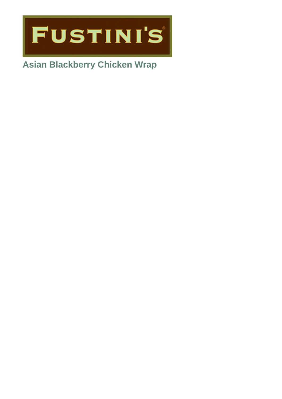

# **Asian Blackberry Chicken Wrap**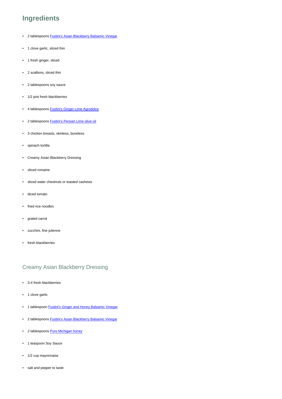## **Ingredients**

- 2 tablespoons [Fustini's Asian Blackberry Balsamic Vinegar](https://www.fustinis.com/order/asian-blackberry-dark_170/)
- 1 clove garlic, sliced thin
- 1 fresh ginger, sliced
- 2 scallions, sliced thin
- 2 tablespoons soy sauce
- 1/2 pint fresh blackberries
- 4 tablespoons **[Fustini's Ginger Lime Agrodolce](https://www.fustinis.com/order/agrodolce-ginger-lime_1931/)**
- 2 tablespoons **[Fustini's Persian Lime olive oil](https://www.fustinis.com/order/persian-lime_90/)**
- 3 chicken breasts, skinless, boneless
- spinach tortilla
- Creamy Asian Blackberry Dressing
- sliced romaine
- sliced water chestnuts or toasted cashews
- diced tomato
- fried rice noodles
- grated carrot
- zucchini, fine julienne
- fresh blackberries

### Creamy Asian Blackberry Dressing

- 3-4 fresh blackberries
- 1 clove garlic
- 1 tablespoon [Fustini's Ginger and Honey Balsamic Vinegar](https://www.fustinis.com/order/ginger-honey-white_162/)
- 2 tablespoons [Fustini's Asian Blackberry Balsamic Vinegar](https://www.fustinis.com/order/asian-blackberry-dark_170/)
- 2 tablespoons [Pure Michigan honey](https://www.fustinis.com/order/pure-michigan-honey_2398/)
- 1 teaspoon Soy Sauce
- 1/2 cup mayonnaise
- salt and pepper to taste